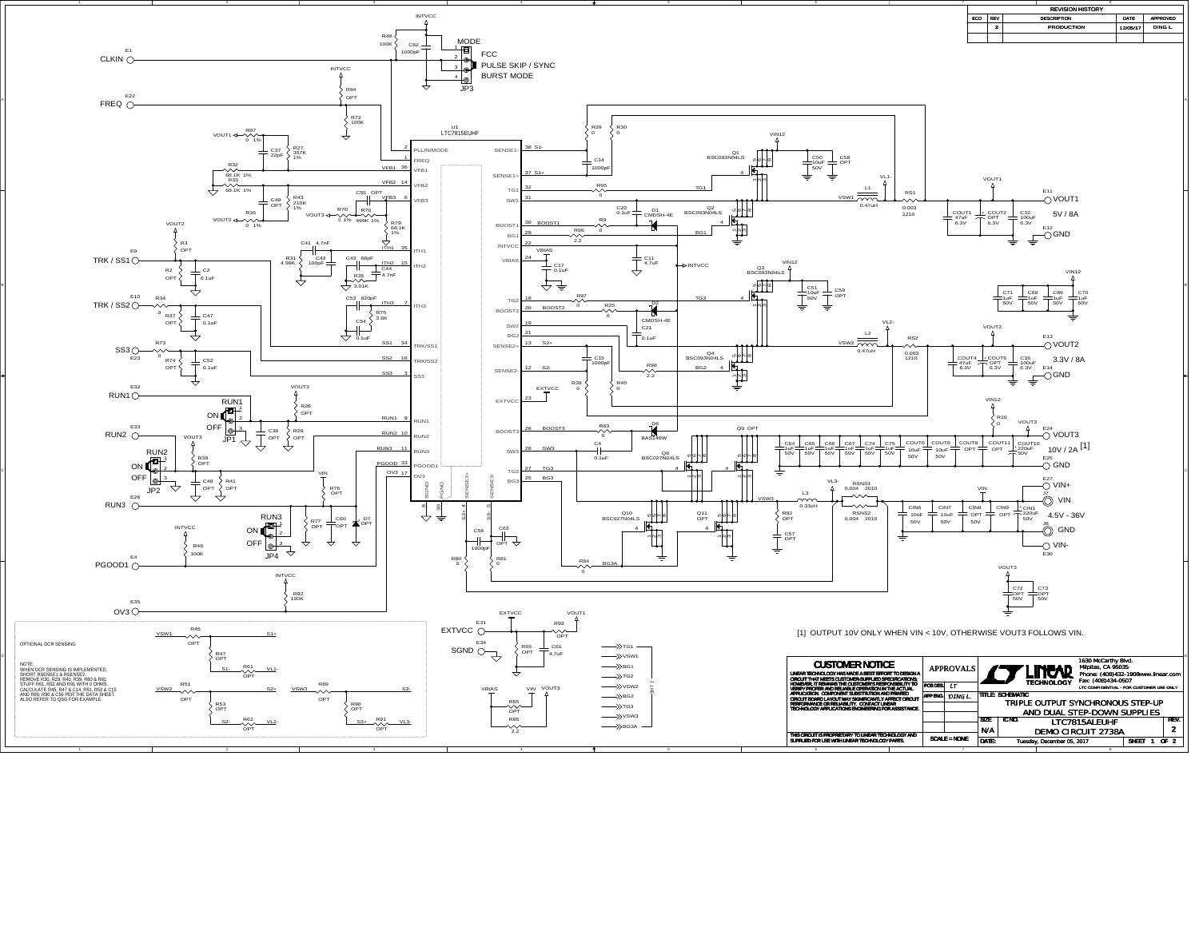